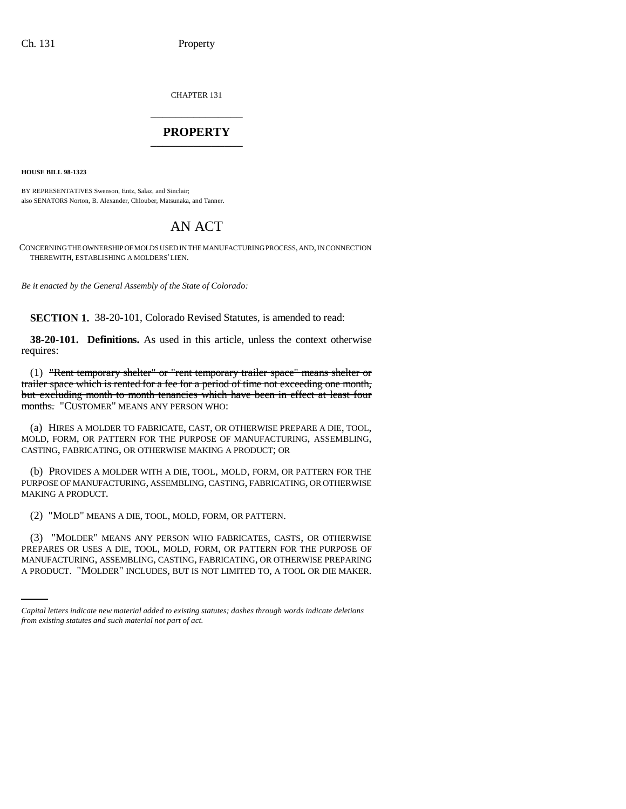CHAPTER 131 \_\_\_\_\_\_\_\_\_\_\_\_\_\_\_

## **PROPERTY** \_\_\_\_\_\_\_\_\_\_\_\_\_\_\_

**HOUSE BILL 98-1323**

BY REPRESENTATIVES Swenson, Entz, Salaz, and Sinclair; also SENATORS Norton, B. Alexander, Chlouber, Matsunaka, and Tanner.

## AN ACT

CONCERNING THE OWNERSHIP OF MOLDS USED IN THE MANUFACTURING PROCESS, AND, IN CONNECTION THEREWITH, ESTABLISHING A MOLDERS' LIEN.

*Be it enacted by the General Assembly of the State of Colorado:*

**SECTION 1.** 38-20-101, Colorado Revised Statutes, is amended to read:

**38-20-101. Definitions.** As used in this article, unless the context otherwise requires:

(1) "Rent temporary shelter" or "rent temporary trailer space" means shelter or trailer space which is rented for a fee for a period of time not exceeding one month, but excluding month to month tenancies which have been in effect at least four months. "CUSTOMER" MEANS ANY PERSON WHO:

(a) HIRES A MOLDER TO FABRICATE, CAST, OR OTHERWISE PREPARE A DIE, TOOL, MOLD, FORM, OR PATTERN FOR THE PURPOSE OF MANUFACTURING, ASSEMBLING, CASTING, FABRICATING, OR OTHERWISE MAKING A PRODUCT; OR

(b) PROVIDES A MOLDER WITH A DIE, TOOL, MOLD, FORM, OR PATTERN FOR THE PURPOSE OF MANUFACTURING, ASSEMBLING, CASTING, FABRICATING, OR OTHERWISE MAKING A PRODUCT.

(2) "MOLD" MEANS A DIE, TOOL, MOLD, FORM, OR PATTERN.

PREPARES OR USES A DIE, TOOL, MOLD, FORM, OR PATTERN FOR THE PURPOSE OF (3) "MOLDER" MEANS ANY PERSON WHO FABRICATES, CASTS, OR OTHERWISE MANUFACTURING, ASSEMBLING, CASTING, FABRICATING, OR OTHERWISE PREPARING A PRODUCT. "MOLDER" INCLUDES, BUT IS NOT LIMITED TO, A TOOL OR DIE MAKER.

*Capital letters indicate new material added to existing statutes; dashes through words indicate deletions from existing statutes and such material not part of act.*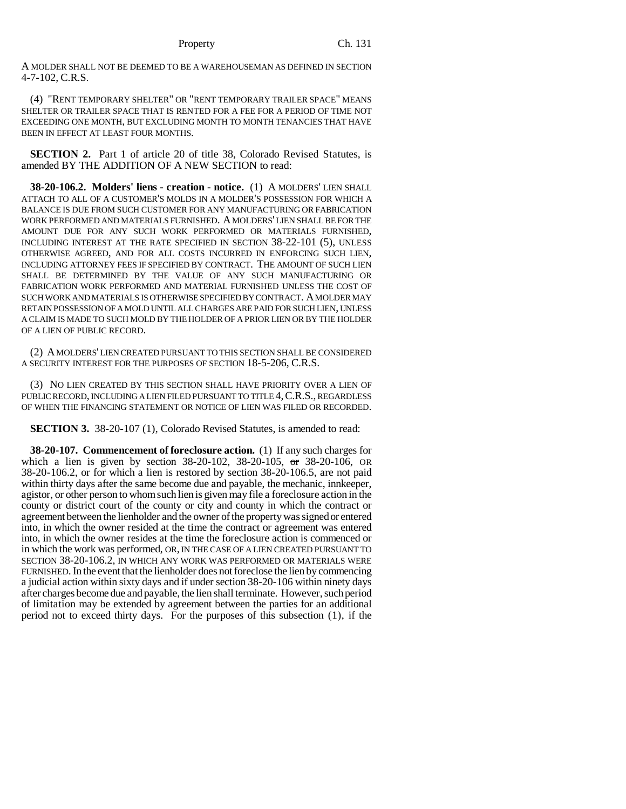A MOLDER SHALL NOT BE DEEMED TO BE A WAREHOUSEMAN AS DEFINED IN SECTION 4-7-102, C.R.S.

(4) "RENT TEMPORARY SHELTER" OR "RENT TEMPORARY TRAILER SPACE" MEANS SHELTER OR TRAILER SPACE THAT IS RENTED FOR A FEE FOR A PERIOD OF TIME NOT EXCEEDING ONE MONTH, BUT EXCLUDING MONTH TO MONTH TENANCIES THAT HAVE BEEN IN EFFECT AT LEAST FOUR MONTHS.

**SECTION 2.** Part 1 of article 20 of title 38, Colorado Revised Statutes, is amended BY THE ADDITION OF A NEW SECTION to read:

**38-20-106.2. Molders' liens - creation - notice.** (1) A MOLDERS' LIEN SHALL ATTACH TO ALL OF A CUSTOMER'S MOLDS IN A MOLDER'S POSSESSION FOR WHICH A BALANCE IS DUE FROM SUCH CUSTOMER FOR ANY MANUFACTURING OR FABRICATION WORK PERFORMED AND MATERIALS FURNISHED. A MOLDERS' LIEN SHALL BE FOR THE AMOUNT DUE FOR ANY SUCH WORK PERFORMED OR MATERIALS FURNISHED, INCLUDING INTEREST AT THE RATE SPECIFIED IN SECTION 38-22-101 (5), UNLESS OTHERWISE AGREED, AND FOR ALL COSTS INCURRED IN ENFORCING SUCH LIEN, INCLUDING ATTORNEY FEES IF SPECIFIED BY CONTRACT. THE AMOUNT OF SUCH LIEN SHALL BE DETERMINED BY THE VALUE OF ANY SUCH MANUFACTURING OR FABRICATION WORK PERFORMED AND MATERIAL FURNISHED UNLESS THE COST OF SUCH WORK AND MATERIALS IS OTHERWISE SPECIFIED BY CONTRACT. A MOLDER MAY RETAIN POSSESSION OF A MOLD UNTIL ALL CHARGES ARE PAID FOR SUCH LIEN, UNLESS A CLAIM IS MADE TO SUCH MOLD BY THE HOLDER OF A PRIOR LIEN OR BY THE HOLDER OF A LIEN OF PUBLIC RECORD.

(2) A MOLDERS' LIEN CREATED PURSUANT TO THIS SECTION SHALL BE CONSIDERED A SECURITY INTEREST FOR THE PURPOSES OF SECTION 18-5-206, C.R.S.

(3) NO LIEN CREATED BY THIS SECTION SHALL HAVE PRIORITY OVER A LIEN OF PUBLIC RECORD, INCLUDING A LIEN FILED PURSUANT TO TITLE 4,C.R.S., REGARDLESS OF WHEN THE FINANCING STATEMENT OR NOTICE OF LIEN WAS FILED OR RECORDED.

**SECTION 3.** 38-20-107 (1), Colorado Revised Statutes, is amended to read:

**38-20-107. Commencement of foreclosure action.** (1) If any such charges for which a lien is given by section 38-20-102, 38-20-105, or 38-20-106, OR 38-20-106.2, or for which a lien is restored by section 38-20-106.5, are not paid within thirty days after the same become due and payable, the mechanic, innkeeper, agistor, or other person to whom such lien is given may file a foreclosure action in the county or district court of the county or city and county in which the contract or agreement between the lienholder and the owner of the property was signed or entered into, in which the owner resided at the time the contract or agreement was entered into, in which the owner resides at the time the foreclosure action is commenced or in which the work was performed, OR, IN THE CASE OF A LIEN CREATED PURSUANT TO SECTION 38-20-106.2, IN WHICH ANY WORK WAS PERFORMED OR MATERIALS WERE FURNISHED. In the event that the lienholder does not foreclose the lien by commencing a judicial action within sixty days and if under section 38-20-106 within ninety days after charges become due and payable, the lien shall terminate. However, such period of limitation may be extended by agreement between the parties for an additional period not to exceed thirty days. For the purposes of this subsection (1), if the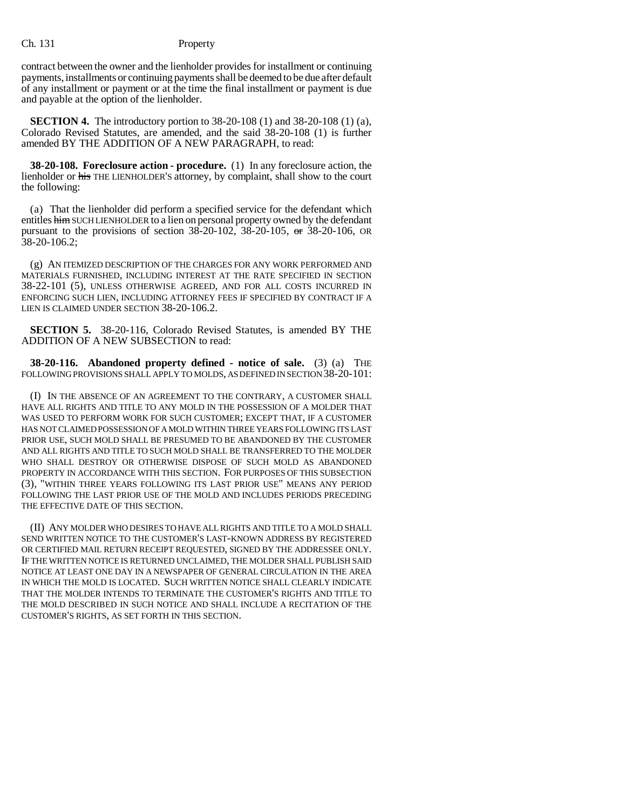contract between the owner and the lienholder provides for installment or continuing payments, installments or continuing payments shall be deemed to be due after default of any installment or payment or at the time the final installment or payment is due and payable at the option of the lienholder.

**SECTION 4.** The introductory portion to 38-20-108 (1) and 38-20-108 (1) (a), Colorado Revised Statutes, are amended, and the said 38-20-108 (1) is further amended BY THE ADDITION OF A NEW PARAGRAPH, to read:

**38-20-108. Foreclosure action - procedure.** (1) In any foreclosure action, the lienholder or his THE LIENHOLDER'S attorney, by complaint, shall show to the court the following:

(a) That the lienholder did perform a specified service for the defendant which entitles him SUCH LIENHOLDER to a lien on personal property owned by the defendant pursuant to the provisions of section  $38-20-102$ ,  $38-20-105$ , or  $38-20-106$ , OR 38-20-106.2;

(g) AN ITEMIZED DESCRIPTION OF THE CHARGES FOR ANY WORK PERFORMED AND MATERIALS FURNISHED, INCLUDING INTEREST AT THE RATE SPECIFIED IN SECTION 38-22-101 (5), UNLESS OTHERWISE AGREED, AND FOR ALL COSTS INCURRED IN ENFORCING SUCH LIEN, INCLUDING ATTORNEY FEES IF SPECIFIED BY CONTRACT IF A LIEN IS CLAIMED UNDER SECTION 38-20-106.2.

**SECTION 5.** 38-20-116, Colorado Revised Statutes, is amended BY THE ADDITION OF A NEW SUBSECTION to read:

**38-20-116. Abandoned property defined - notice of sale.** (3) (a) THE FOLLOWING PROVISIONS SHALL APPLY TO MOLDS, AS DEFINED IN SECTION 38-20-101:

(I) IN THE ABSENCE OF AN AGREEMENT TO THE CONTRARY, A CUSTOMER SHALL HAVE ALL RIGHTS AND TITLE TO ANY MOLD IN THE POSSESSION OF A MOLDER THAT WAS USED TO PERFORM WORK FOR SUCH CUSTOMER; EXCEPT THAT, IF A CUSTOMER HAS NOT CLAIMED POSSESSION OF A MOLD WITHIN THREE YEARS FOLLOWING ITS LAST PRIOR USE, SUCH MOLD SHALL BE PRESUMED TO BE ABANDONED BY THE CUSTOMER AND ALL RIGHTS AND TITLE TO SUCH MOLD SHALL BE TRANSFERRED TO THE MOLDER WHO SHALL DESTROY OR OTHERWISE DISPOSE OF SUCH MOLD AS ABANDONED PROPERTY IN ACCORDANCE WITH THIS SECTION. FOR PURPOSES OF THIS SUBSECTION (3), "WITHIN THREE YEARS FOLLOWING ITS LAST PRIOR USE" MEANS ANY PERIOD FOLLOWING THE LAST PRIOR USE OF THE MOLD AND INCLUDES PERIODS PRECEDING THE EFFECTIVE DATE OF THIS SECTION.

(II) ANY MOLDER WHO DESIRES TO HAVE ALL RIGHTS AND TITLE TO A MOLD SHALL SEND WRITTEN NOTICE TO THE CUSTOMER'S LAST-KNOWN ADDRESS BY REGISTERED OR CERTIFIED MAIL RETURN RECEIPT REQUESTED, SIGNED BY THE ADDRESSEE ONLY. IF THE WRITTEN NOTICE IS RETURNED UNCLAIMED, THE MOLDER SHALL PUBLISH SAID NOTICE AT LEAST ONE DAY IN A NEWSPAPER OF GENERAL CIRCULATION IN THE AREA IN WHICH THE MOLD IS LOCATED. SUCH WRITTEN NOTICE SHALL CLEARLY INDICATE THAT THE MOLDER INTENDS TO TERMINATE THE CUSTOMER'S RIGHTS AND TITLE TO THE MOLD DESCRIBED IN SUCH NOTICE AND SHALL INCLUDE A RECITATION OF THE CUSTOMER'S RIGHTS, AS SET FORTH IN THIS SECTION.